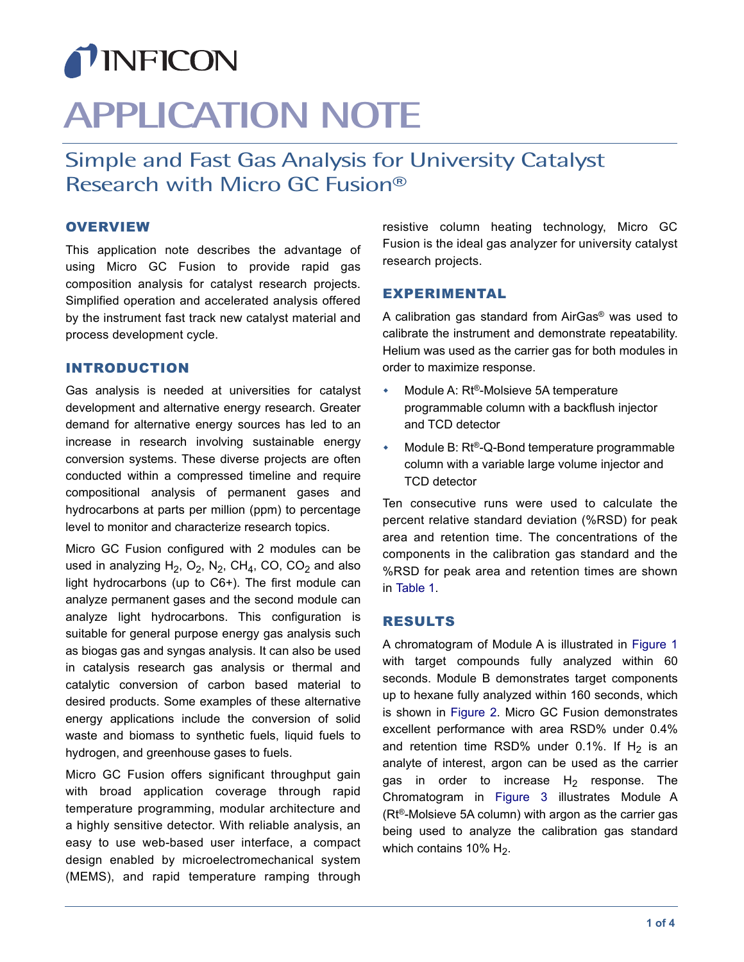## TINFICON

# **APPLICATION NOTE**

### Simple and Fast Gas Analysis for University Catalyst Research with Micro GC Fusion®

#### **OVERVIEW**

This application note describes the advantage of using Micro GC Fusion to provide rapid gas composition analysis for catalyst research projects. Simplified operation and accelerated analysis offered by the instrument fast track new catalyst material and process development cycle.

#### INTRODUCTION

Gas analysis is needed at universities for catalyst development and alternative energy research. Greater demand for alternative energy sources has led to an increase in research involving sustainable energy conversion systems. These diverse projects are often conducted within a compressed timeline and require compositional analysis of permanent gases and hydrocarbons at parts per million (ppm) to percentage level to monitor and characterize research topics.

Micro GC Fusion configured with 2 modules can be used in analyzing H<sub>2</sub>, O<sub>2</sub>, N<sub>2</sub>, CH<sub>4</sub>, CO, CO<sub>2</sub> and also light hydrocarbons (up to C6+). The first module can analyze permanent gases and the second module can analyze light hydrocarbons. This configuration is suitable for general purpose energy gas analysis such as biogas gas and syngas analysis. It can also be used in catalysis research gas analysis or thermal and catalytic conversion of carbon based material to desired products. Some examples of these alternative energy applications include the conversion of solid waste and biomass to synthetic fuels, liquid fuels to hydrogen, and greenhouse gases to fuels.

Micro GC Fusion offers significant throughput gain with broad application coverage through rapid temperature programming, modular architecture and a highly sensitive detector. With reliable analysis, an easy to use web-based user interface, a compact design enabled by microelectromechanical system (MEMS), and rapid temperature ramping through

resistive column heating technology, Micro GC Fusion is the ideal gas analyzer for university catalyst research projects.

#### EXPERIMENTAL

A calibration gas standard from AirGas® was used to calibrate the instrument and demonstrate repeatability. Helium was used as the carrier gas for both modules in order to maximize response.

- ◆ Module A: Rt®-Molsieve 5A temperature programmable column with a backflush injector and TCD detector
- Module B: Rt®-Q-Bond temperature programmable column with a variable large volume injector and TCD detector

Ten consecutive runs were used to calculate the percent relative standard deviation (%RSD) for peak area and retention time. The concentrations of the components in the calibration gas standard and the %RSD for peak area and retention times are shown in [Table 1](#page-1-0).

#### RESULTS

A chromatogram of Module A is illustrated in [Figure 1](#page-1-1) with target compounds fully analyzed within 60 seconds. Module B demonstrates target components up to hexane fully analyzed within 160 seconds, which is shown in [Figure 2](#page-2-0). Micro GC Fusion demonstrates excellent performance with area RSD% under 0.4% and retention time RSD% under 0.1%. If  $H_2$  is an analyte of interest, argon can be used as the carrier gas in order to increase  $H_2$  response. The Chromatogram in [Figure 3](#page-3-0) illustrates Module A (Rt®-Molsieve 5A column) with argon as the carrier gas being used to analyze the calibration gas standard which contains 10%  $H_2$ .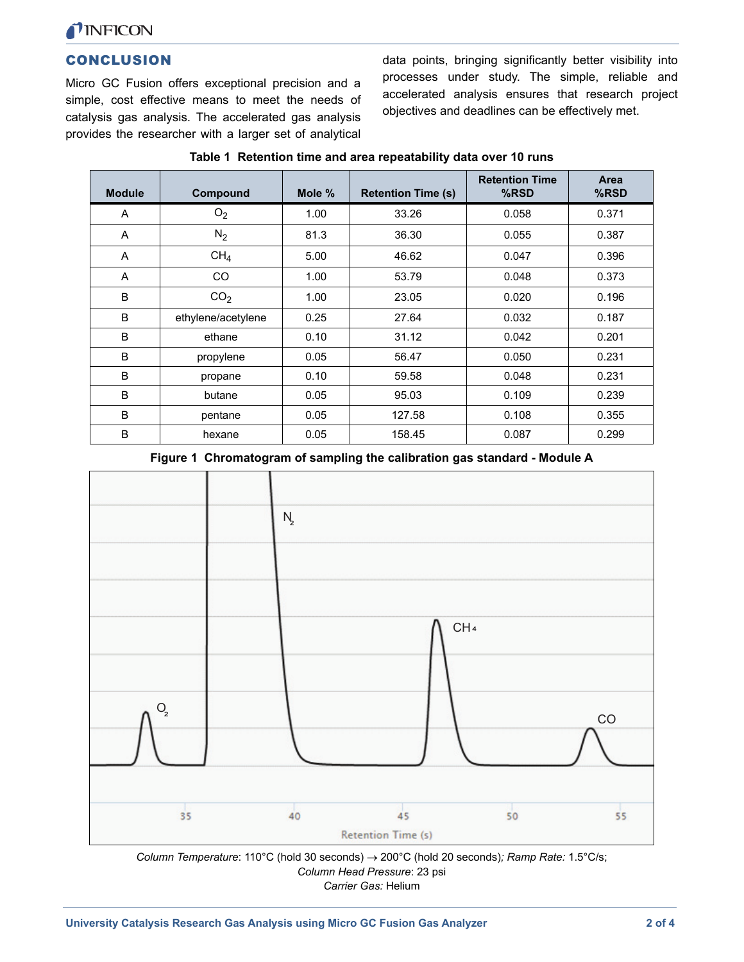

#### **CONCLUSION**

Micro GC Fusion offers exceptional precision and a simple, cost effective means to meet the needs of catalysis gas analysis. The accelerated gas analysis provides the researcher with a larger set of analytical

data points, bringing significantly better visibility into processes under study. The simple, reliable and accelerated analysis ensures that research project objectives and deadlines can be effectively met.

<span id="page-1-0"></span>

| <b>Module</b> | Compound           | Mole $%$ | <b>Retention Time (s)</b> | <b>Retention Time</b><br>%RSD | <b>Area</b><br>%RSD |
|---------------|--------------------|----------|---------------------------|-------------------------------|---------------------|
| A             | O <sub>2</sub>     | 1.00     | 33.26                     | 0.058                         | 0.371               |
| A             | $N_2$              | 81.3     | 36.30                     | 0.055                         | 0.387               |
| Α             | CH <sub>4</sub>    | 5.00     | 46.62                     | 0.047                         | 0.396               |
| Α             | <b>CO</b>          | 1.00     | 53.79                     | 0.048                         | 0.373               |
| B             | CO <sub>2</sub>    | 1.00     | 23.05                     | 0.020                         | 0.196               |
| B             | ethylene/acetylene | 0.25     | 27.64                     | 0.032                         | 0.187               |
| B             | ethane             | 0.10     | 31.12                     | 0.042                         | 0.201               |
| B             | propylene          | 0.05     | 56.47                     | 0.050                         | 0.231               |
| B             | propane            | 0.10     | 59.58                     | 0.048                         | 0.231               |
| B             | butane             | 0.05     | 95.03                     | 0.109                         | 0.239               |
| B             | pentane            | 0.05     | 127.58                    | 0.108                         | 0.355               |
| B             | hexane             | 0.05     | 158.45                    | 0.087                         | 0.299               |

#### **Table 1 Retention time and area repeatability data over 10 runs**

**Figure 1 Chromatogram of sampling the calibration gas standard - Module A**

<span id="page-1-1"></span>

*Column Temperature*: 110°C (hold 30 seconds) 200°C (hold 20 seconds)*; Ramp Rate:* 1.5°C/s; *Column Head Pressure*: 23 psi *Carrier Gas:* Helium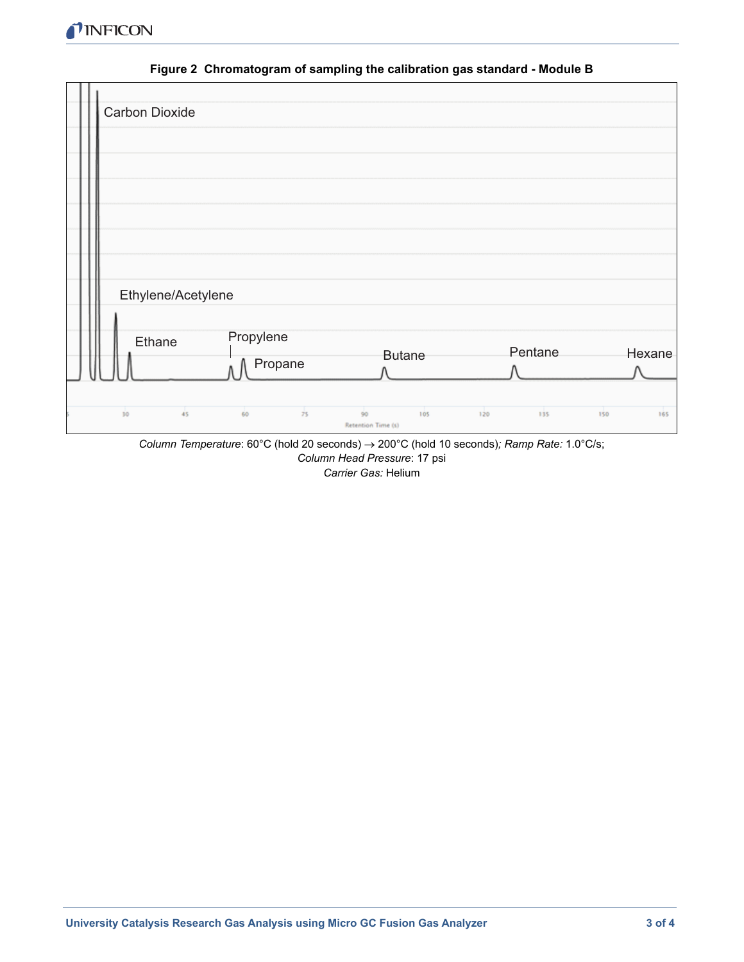

<span id="page-2-0"></span>

|    | Carbon Dioxide     |                      |               |            |        |
|----|--------------------|----------------------|---------------|------------|--------|
|    |                    |                      |               |            |        |
|    |                    |                      |               |            |        |
|    |                    |                      |               |            |        |
|    |                    |                      |               |            |        |
|    |                    |                      |               |            |        |
|    |                    |                      |               |            |        |
|    |                    |                      |               |            |        |
|    |                    |                      |               |            |        |
|    | Ethylene/Acetylene |                      |               |            |        |
|    |                    |                      |               |            |        |
|    | Ethane             | Propylene            | <b>Butane</b> | Pentane    | Hexane |
|    |                    | Propane              |               |            |        |
| 10 | 45                 | $\frac{1}{25}$<br>60 | 90<br>105     | 120<br>135 | 150    |

**Figure 2 Chromatogram of sampling the calibration gas standard - Module B**

*Column Temperature*: 60°C (hold 20 seconds) 200°C (hold 10 seconds)*; Ramp Rate:* 1.0°C/s; *Column Head Pressure*: 17 psi *Carrier Gas:* Helium